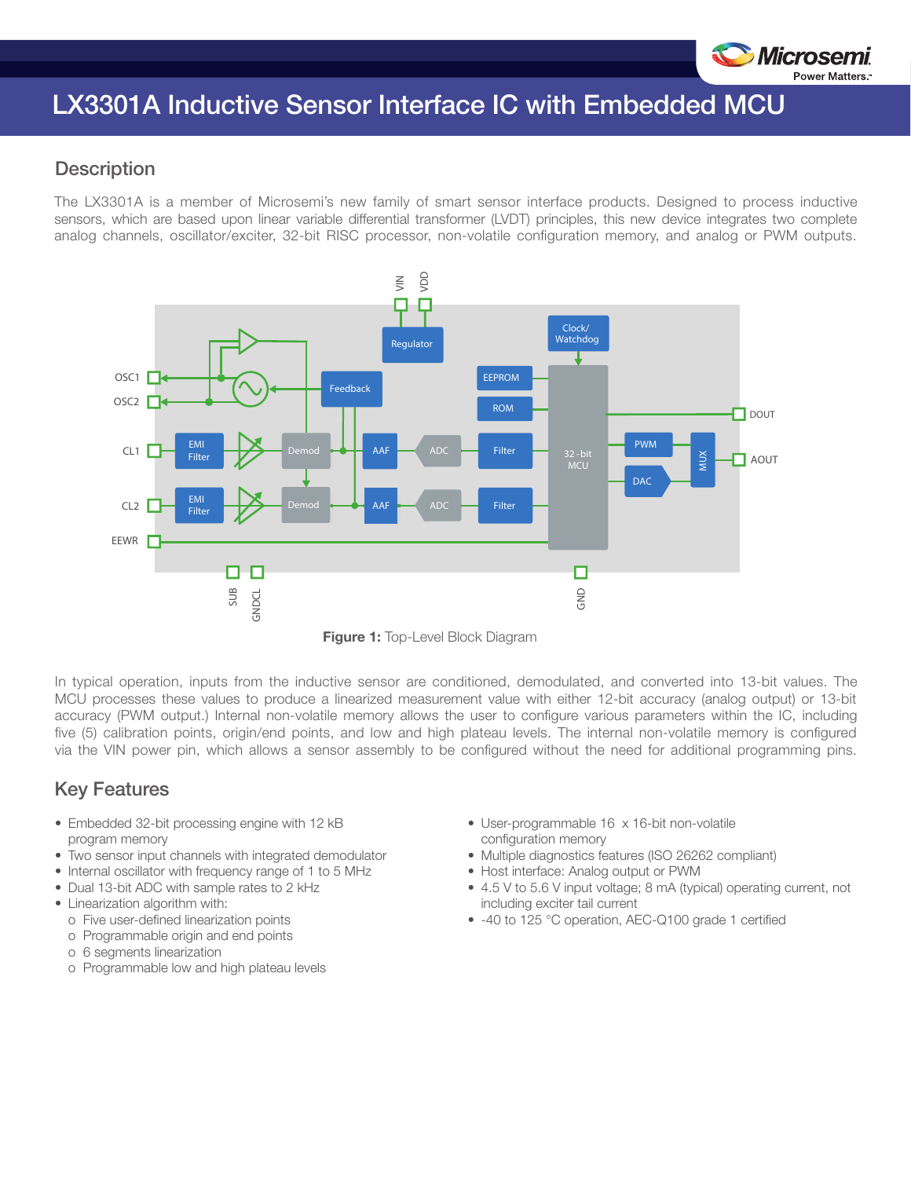

# LX3301A Inductive Sensor Interface IC with Embedded MCU

#### **Description**

The LX3301A is a member of Microsemi's new family of smart sensor interface products. Designed to process inductive sensors, which are based upon linear variable differential transformer (LVDT) principles, this new device integrates two complete analog channels, oscillator/exciter, 32-bit RISC processor, non-volatile configuration memory, and analog or PWM outputs.



**Figure 1: Top-Level Block Diagram** 

In typical operation, inputs from the inductive sensor are conditioned, demodulated, and converted into 13-bit values. The MCU processes these values to produce a linearized measurement value with either 12-bit accuracy (analog output) or 13-bit accuracy (PWM output.) Internal non-volatile memory allows the user to configure various parameters within the IC, including five (5) calibration points, origin/end points, and low and high plateau levels. The internal non-volatile memory is configured via the VIN power pin, which allows a sensor assembly to be configured without the need for additional programming pins.

### Key Features

- Embedded 32-bit processing engine with 12 kB program memory
- Two sensor input channels with integrated demodulator
- Internal oscillator with frequency range of 1 to 5 MHz
- Dual 13-bit ADC with sample rates to 2 kHz
- Linearization algorithm with:
- o Five user-defined linearization points
- o Programmable origin and end points
- o 6 segments linearization
- o Programmable low and high plateau levels
- User-programmable 16 x 16-bit non-volatile configuration memory
- Multiple diagnostics features (ISO 26262 compliant)
- Host interface: Analog output or PWM
- 4.5 V to 5.6 V input voltage; 8 mA (typical) operating current, not including exciter tail current
- -40 to 125 °C operation, AEC-Q100 grade 1 certified